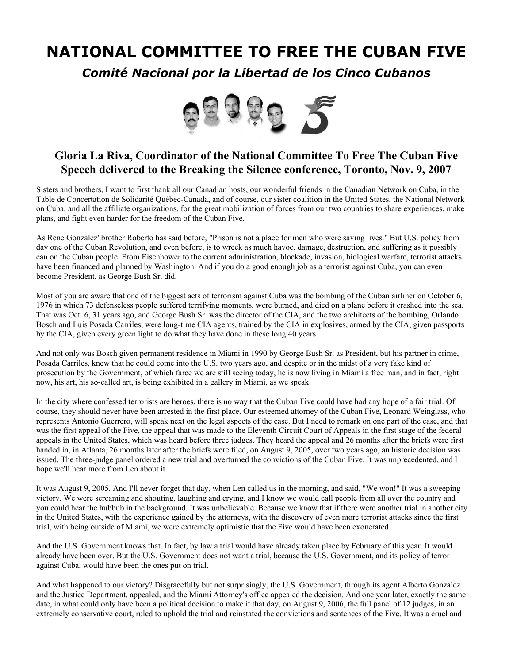## **NATIONAL COMMITTEE TO FREE THE CUBAN FIVE**

*Comité Nacional por la Libertad de los Cinco Cubanos*



## **Gloria La Riva, Coordinator of the National Committee To Free The Cuban Five Speech delivered to the Breaking the Silence conference, Toronto, Nov. 9, 2007**

Sisters and brothers, I want to first thank all our Canadian hosts, our wonderful friends in the Canadian Network on Cuba, in the Table de Concertation de Solidarité Québec-Canada, and of course, our sister coalition in the United States, the National Network on Cuba, and all the affiliate organizations, for the great mobilization of forces from our two countries to share experiences, make plans, and fight even harder for the freedom of the Cuban Five.

As Rene González' brother Roberto has said before, "Prison is not a place for men who were saving lives." But U.S. policy from day one of the Cuban Revolution, and even before, is to wreck as much havoc, damage, destruction, and suffering as it possibly can on the Cuban people. From Eisenhower to the current administration, blockade, invasion, biological warfare, terrorist attacks have been financed and planned by Washington. And if you do a good enough job as a terrorist against Cuba, you can even become President, as George Bush Sr. did.

Most of you are aware that one of the biggest acts of terrorism against Cuba was the bombing of the Cuban airliner on October 6, 1976 in which 73 defenseless people suffered terrifying moments, were burned, and died on a plane before it crashed into the sea. That was Oct. 6, 31 years ago, and George Bush Sr. was the director of the CIA, and the two architects of the bombing, Orlando Bosch and Luis Posada Carriles, were long-time CIA agents, trained by the CIA in explosives, armed by the CIA, given passports by the CIA, given every green light to do what they have done in these long 40 years.

And not only was Bosch given permanent residence in Miami in 1990 by George Bush Sr. as President, but his partner in crime, Posada Carriles, knew that he could come into the U.S. two years ago, and despite or in the midst of a very fake kind of prosecution by the Government, of which farce we are still seeing today, he is now living in Miami a free man, and in fact, right now, his art, his so-called art, is being exhibited in a gallery in Miami, as we speak.

In the city where confessed terrorists are heroes, there is no way that the Cuban Five could have had any hope of a fair trial. Of course, they should never have been arrested in the first place. Our esteemed attorney of the Cuban Five, Leonard Weinglass, who represents Antonio Guerrero, will speak next on the legal aspects of the case. But I need to remark on one part of the case, and that was the first appeal of the Five, the appeal that was made to the Eleventh Circuit Court of Appeals in the first stage of the federal appeals in the United States, which was heard before three judges. They heard the appeal and 26 months after the briefs were first handed in, in Atlanta, 26 months later after the briefs were filed, on August 9, 2005, over two years ago, an historic decision was issued. The three-judge panel ordered a new trial and overturned the convictions of the Cuban Five. It was unprecedented, and I hope we'll hear more from Len about it.

It was August 9, 2005. And I'll never forget that day, when Len called us in the morning, and said, "We won!" It was a sweeping victory. We were screaming and shouting, laughing and crying, and I know we would call people from all over the country and you could hear the hubbub in the background. It was unbelievable. Because we know that if there were another trial in another city in the United States, with the experience gained by the attorneys, with the discovery of even more terrorist attacks since the first trial, with being outside of Miami, we were extremely optimistic that the Five would have been exonerated.

And the U.S. Government knows that. In fact, by law a trial would have already taken place by February of this year. It would already have been over. But the U.S. Government does not want a trial, because the U.S. Government, and its policy of terror against Cuba, would have been the ones put on trial.

And what happened to our victory? Disgracefully but not surprisingly, the U.S. Government, through its agent Alberto Gonzalez and the Justice Department, appealed, and the Miami Attorney's office appealed the decision. And one year later, exactly the same date, in what could only have been a political decision to make it that day, on August 9, 2006, the full panel of 12 judges, in an extremely conservative court, ruled to uphold the trial and reinstated the convictions and sentences of the Five. It was a cruel and